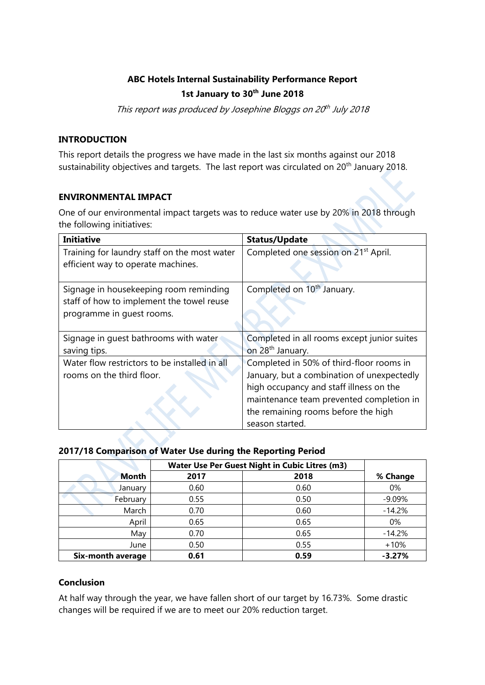# **ABC Hotels Internal Sustainability Performance Report 1st January to 30th June 2018**

This report was produced by Josephine Bloggs on 20<sup>th</sup> July 2018

# **INTRODUCTION**

This report details the progress we have made in the last six months against our 2018 sustainability objectives and targets. The last report was circulated on 20<sup>th</sup> January 2018.

## **ENVIRONMENTAL IMPACT**

One of our environmental impact targets was to reduce water use by 20% in 2018 through the following initiatives:

| <b>Initiative</b>                             | <b>Status/Update</b>                             |
|-----------------------------------------------|--------------------------------------------------|
| Training for laundry staff on the most water  | Completed one session on 21 <sup>st</sup> April. |
| efficient way to operate machines.            |                                                  |
| Signage in housekeeping room reminding        | Completed on 10 <sup>th</sup> January.           |
| staff of how to implement the towel reuse     |                                                  |
| programme in quest rooms.                     |                                                  |
|                                               |                                                  |
| Signage in quest bathrooms with water         | Completed in all rooms except junior suites      |
| saving tips.                                  | on 28 <sup>th</sup> January.                     |
| Water flow restrictors to be installed in all | Completed in 50% of third-floor rooms in         |
| rooms on the third floor.                     | January, but a combination of unexpectedly       |
|                                               | high occupancy and staff illness on the          |
|                                               | maintenance team prevented completion in         |
|                                               | the remaining rooms before the high              |
|                                               | season started.                                  |

# **2017/18 Comparison of Water Use during the Reporting Period**

|                   | Water Use Per Guest Night in Cubic Litres (m3) |      |          |
|-------------------|------------------------------------------------|------|----------|
| <b>Month</b>      | 2017                                           | 2018 | % Change |
| January           | 0.60                                           | 0.60 | 0%       |
| February          | 0.55                                           | 0.50 | $-9.09%$ |
| March             | 0.70                                           | 0.60 | $-14.2%$ |
| April             | 0.65                                           | 0.65 | 0%       |
| May               | 0.70                                           | 0.65 | $-14.2%$ |
| June              | 0.50                                           | 0.55 | $+10%$   |
| Six-month average | 0.61                                           | 0.59 | $-3.27%$ |

# **Conclusion**

At half way through the year, we have fallen short of our target by 16.73%. Some drastic changes will be required if we are to meet our 20% reduction target.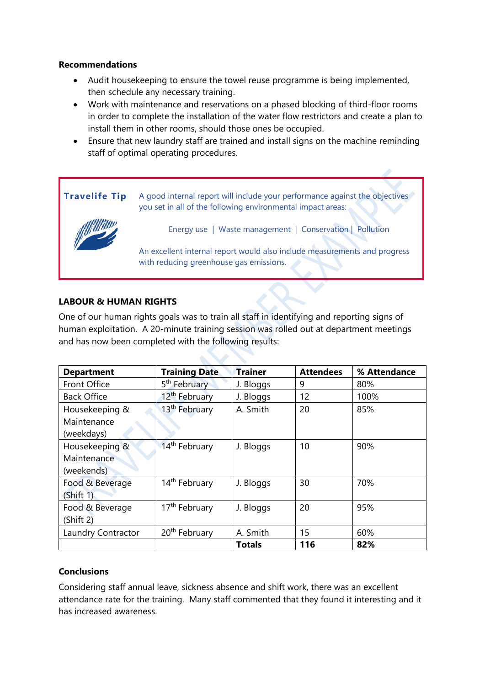## **Recommendations**

- Audit housekeeping to ensure the towel reuse programme is being implemented, then schedule any necessary training.
- Work with maintenance and reservations on a phased blocking of third-floor rooms in order to complete the installation of the water flow restrictors and create a plan to install them in other rooms, should those ones be occupied.
- Ensure that new laundry staff are trained and install signs on the machine reminding staff of optimal operating procedures.



# **LABOUR & HUMAN RIGHTS**

One of our human rights goals was to train all staff in identifying and reporting signs of human exploitation. A 20-minute training session was rolled out at department meetings and has now been completed with the following results:

| <b>Department</b>  | <b>Training Date</b>      | <b>Trainer</b> | <b>Attendees</b> | % Attendance |
|--------------------|---------------------------|----------------|------------------|--------------|
| Front Office       | 5 <sup>th</sup> February  | J. Bloggs      | 9                | 80%          |
| <b>Back Office</b> | 12 <sup>th</sup> February | J. Bloggs      | 12               | 100%         |
| Housekeeping &     | 13 <sup>th</sup> February | A. Smith       | 20               | 85%          |
| Maintenance        |                           |                |                  |              |
| (weekdays)         |                           |                |                  |              |
| Housekeeping &     | 14 <sup>th</sup> February | J. Bloggs      | 10               | 90%          |
| Maintenance        |                           |                |                  |              |
| (weekends)         |                           |                |                  |              |
| Food & Beverage    | 14 <sup>th</sup> February | J. Bloggs      | 30               | 70%          |
| (Shift 1)          |                           |                |                  |              |
| Food & Beverage    | 17 <sup>th</sup> February | J. Bloggs      | 20               | 95%          |
| (Shift 2)          |                           |                |                  |              |
| Laundry Contractor | 20 <sup>th</sup> February | A. Smith       | 15               | 60%          |
|                    |                           | <b>Totals</b>  | 116              | 82%          |

# **Conclusions**

Considering staff annual leave, sickness absence and shift work, there was an excellent attendance rate for the training. Many staff commented that they found it interesting and it has increased awareness.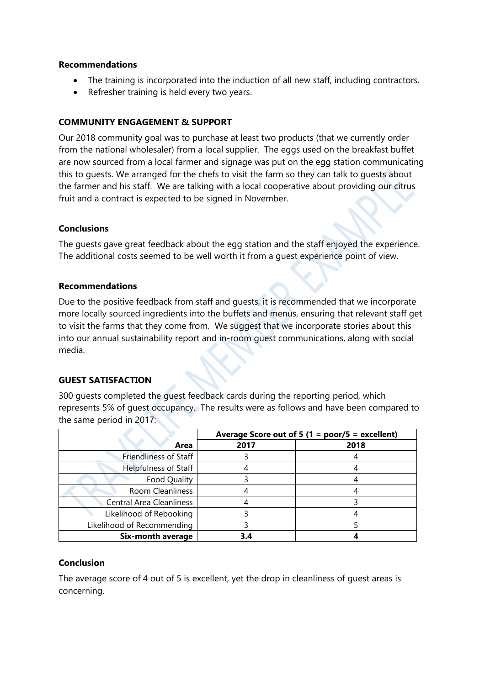## **Recommendations**

- The training is incorporated into the induction of all new staff, including contractors.
- Refresher training is held every two years.

## **COMMUNITY ENGAGEMENT & SUPPORT**

Our 2018 community goal was to purchase at least two products (that we currently order from the national wholesaler) from a local supplier. The eggs used on the breakfast buffet are now sourced from a local farmer and signage was put on the egg station communicating this to guests. We arranged for the chefs to visit the farm so they can talk to guests about the farmer and his staff. We are talking with a local cooperative about providing our citrus fruit and a contract is expected to be signed in November.

#### **Conclusions**

The guests gave great feedback about the egg station and the staff enjoyed the experience. The additional costs seemed to be well worth it from a guest experience point of view.

## **Recommendations**

Due to the positive feedback from staff and guests, it is recommended that we incorporate more locally sourced ingredients into the buffets and menus, ensuring that relevant staff get to visit the farms that they come from. We suggest that we incorporate stories about this into our annual sustainability report and in-room guest communications, along with social media.

# **GUEST SATISFACTION**

300 guests completed the guest feedback cards during the reporting period, which represents 5% of guest occupancy. The results were as follows and have been compared to the same period in 2017:

|                                 | Average Score out of 5 (1 = poor/5 = excellent) |      |
|---------------------------------|-------------------------------------------------|------|
| Area                            | 2017                                            | 2018 |
| <b>Friendliness of Staff</b>    |                                                 |      |
| Helpfulness of Staff            |                                                 |      |
| Food Quality                    |                                                 |      |
| <b>Room Cleanliness</b>         |                                                 |      |
| <b>Central Area Cleanliness</b> |                                                 |      |
| Likelihood of Rebooking         |                                                 |      |
| Likelihood of Recommending      |                                                 |      |
| Six-month average               |                                                 |      |

# **Conclusion**

The average score of 4 out of 5 is excellent, yet the drop in cleanliness of guest areas is concerning.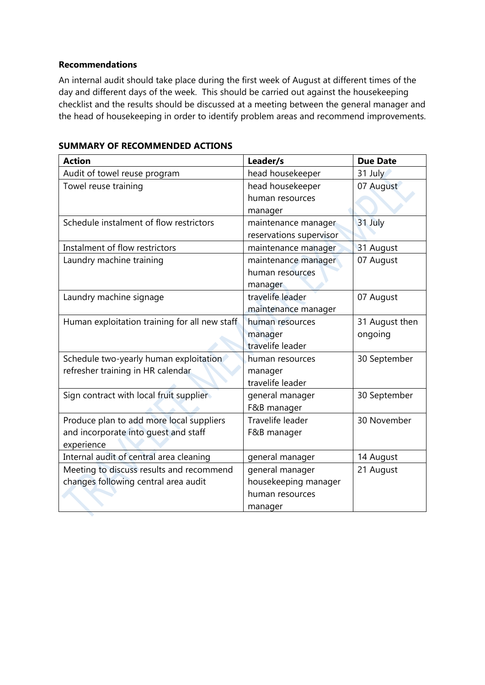## **Recommendations**

An internal audit should take place during the first week of August at different times of the day and different days of the week. This should be carried out against the housekeeping checklist and the results should be discussed at a meeting between the general manager and the head of housekeeping in order to identify problem areas and recommend improvements.

| <b>Action</b>                                 | Leader/s                | <b>Due Date</b> |
|-----------------------------------------------|-------------------------|-----------------|
| Audit of towel reuse program                  | head housekeeper        | 31 July         |
| Towel reuse training                          | head housekeeper        | 07 August       |
|                                               | human resources         |                 |
|                                               | manager                 |                 |
| Schedule instalment of flow restrictors       | maintenance manager     | 31 July         |
|                                               | reservations supervisor |                 |
| Instalment of flow restrictors                | maintenance manager     | 31 August       |
| Laundry machine training                      | maintenance manager     | 07 August       |
|                                               | human resources         |                 |
|                                               | manager                 |                 |
| Laundry machine signage                       | travelife leader        | 07 August       |
|                                               | maintenance manager     |                 |
| Human exploitation training for all new staff | human resources         | 31 August then  |
|                                               | manager                 | ongoing         |
|                                               | travelife leader        |                 |
| Schedule two-yearly human exploitation        | human resources         | 30 September    |
| refresher training in HR calendar             | manager                 |                 |
|                                               | travelife leader        |                 |
| Sign contract with local fruit supplier       | general manager         | 30 September    |
|                                               | F&B manager             |                 |
| Produce plan to add more local suppliers      | Travelife leader        | 30 November     |
| and incorporate into guest and staff          | F&B manager             |                 |
| experience                                    |                         |                 |
| Internal audit of central area cleaning       | general manager         | 14 August       |
| Meeting to discuss results and recommend      | general manager         | 21 August       |
| changes following central area audit          | housekeeping manager    |                 |
|                                               | human resources         |                 |
|                                               | manager                 |                 |

## **SUMMARY OF RECOMMENDED ACTIONS**